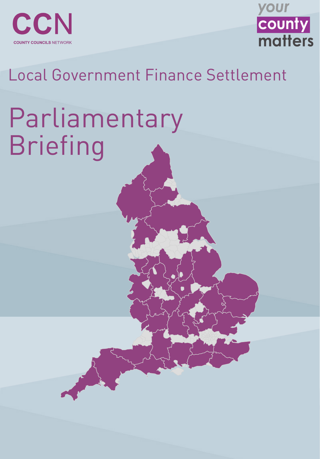

**COUNTY COUNCILS NETWORK** 



### Local Government Finance Settlement

# Parliamentary Briefing

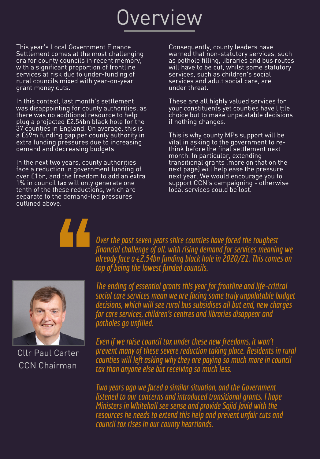## Overview

This year ' s Local Government Finance Settlement comes at the most challenging era for county councils in recent memory, with a significant proportion of frontline services at risk due to under-funding of rural councils mixed with year-on-year grant money cuts.

In the next two years, county authorities face a reduction in government funding of over £1bn, and the freedom to add an extra 1% in council tax will only generate one tenth of the these reductions, which are separate to the demand-led pressures outlined above.

In this context, last month' s settlement was disappointing for county authorities, as there was no additional resource to help plug a projected £2.54bn black hole for the 37 counties in England. On average, this is a £69m funding gap per county authority in extra funding pressures due to increasing demand and decreasing budgets.

> *Over the past seven years shire counties have faced the toughest financial challenge of all, with rising demand for services meaning we already face a£2.54bnfundingblackhole in 2020/21. This comes on top of being the lowest funded councils.*



Consequently, county leaders have warned that non-statutory services, such as pothole filling, libraries and bus routes will have to be cut, whilst some statutory services, such as children ' s social services and adult social care, are under threat.

*Evenif we raise council taxunder thesenew freedoms, it won't prevent many of these severe reductiontakingplace. Residents inrural counties will left asking why they are paying so much more in council tax than anyone else but receiving so much less.* 

*Two years ago we faced a similar situation, and the Government listened to our concerns and introduced transitionalgrants. Ihope Ministers in Whitehall see sense and provide Sajid Javid with the resources heneeds to extend thishelpand prevent unfair cuts and council tax rises in our county heartlands.* 

These are all highly valued services for your constituents yet counties have little choice but to make unpalatable decisions if nothing changes.

Cllr Paul Carter CCN Chairman

This is why county MPs support will be vital in asking to the government to rethink before the final settlement next month. In particular, extending transitional grants (more on that on the next page) will help ease the pressure next year. We would encourage you to support CCN's campaigning - otherwise local services could be lost.

*The endingof essentialgrants this year for frontline and life-critical social care services mean we are facingsome trulyunpalatable budget decisions, which will see rural bus subsidises all but end,new charges for care services, children's centres and libraries disappear and*

#### *potholes go unfilled.*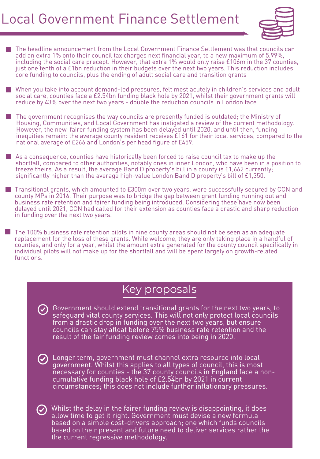#### Local Government Finance Settlement



#### Key proposals



- The headline announcement from the Local Government Finance Settlement was that councils can add an extra 1% onto their council tax charges next financial year, to a new maximum of 5.99%, including the social care precept. However, that extra 1% would only raise £106m in the 37 counties, just one tenth of a £1bn reduction in their budgets over the next two years. This reduction includes core funding to councils, plus the ending of adult social care and transition grants
- When you take into account demand-led pressures, felt most acutely in children ' s services and adult social care, counties face a £2.54bn funding black hole by 2021, whilst their government grants will reduce by 43% over the next two years - double the reduction councils in London face.
- The government recognises the way councils are presently funded is outdated; the Ministry of Housing, Communities, and Local Government has instigated a review of the current methodology. However, the new fairer funding system has been delayed until 2020, and until then, funding inequities remain: the average county resident receives £161 for their local services, compared to the national average of £266 and London 's per head figure of £459.

As a consequence, counties have historically been forced to raise council tax to make up the shortfall, compared to other authorities, notably ones in inner London, who have been in a position to freeze theirs. As a result, the average Band D property ' s bill in a county is £1,662 currently; significantly higher than the average high-value London Band D property 's bill of £1,350.

**The 100% business rate retention pilots in nine county areas should not be seen as an adequate** replacement for the loss of these grants. While welcome, they are only taking place in a handful of counties, and only for a year, whilst the amount extra generated for the county council specifically in individual pilots will not make up for the shortfall and will be spent largely on growth-related functions.

Transitional grants, which amounted to £300m over two years, were successfully secured by CCN and county MPs in 2016. Their purpose was to bridge the gap between grant funding running out and business rate retention and fairer funding being introduced. Considering these have now been delayed until 2021, CCN had called for their extension as counties face a drastic and sharp reduction in funding over the next two years.

> Government should extend transitional grants for the next two years, to safeguard vital county services. This will not only protect local councils from a drastic drop in funding over the next two years, but ensure councils can stay afloat before 75% business rate retention and the result of the fair funding review comes into being in 2020.

Longer term, government must channel extra resource into local government. Whilst this applies to all types of council, this is most necessary for counties - the 37 county councils in England face a noncumulative funding black hole of £2.54bn by 2021 in current circumstances; this does not include further inflationary pressures.

Whilst the delay in the fairer funding review is disappointing, it does allow time to get it right. Government must devise a new formula based on a simple cost-drivers approach; one which funds councils based on their present and future need to deliver services rather the the current regressive methodology.